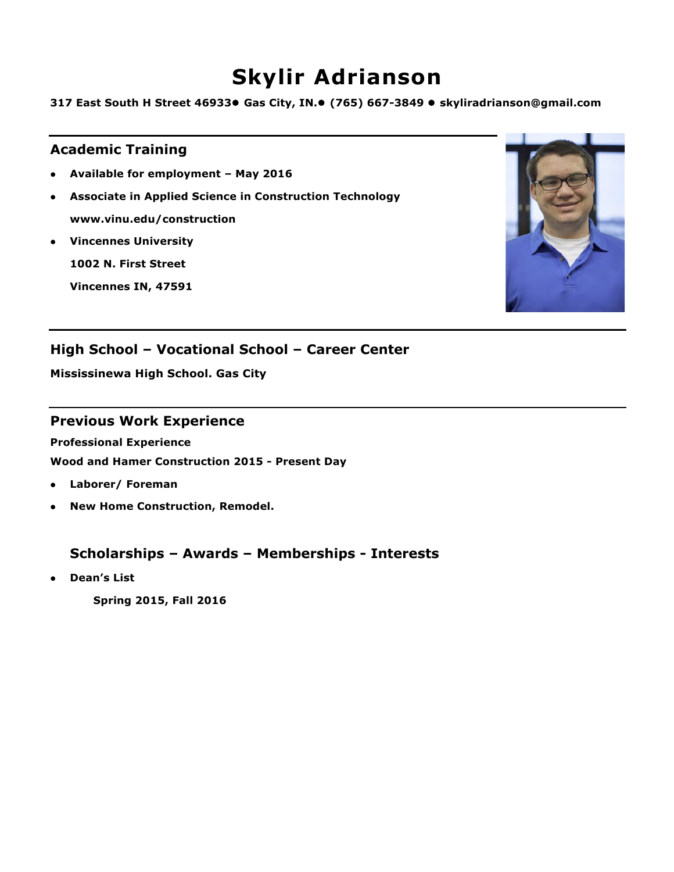# **Skylir Adrianson**

**317 East South H Street 46933**l **Gas City, IN.**l **(765) 667-3849** l **skyliradrianson@gmail.com**

## **Academic Training**

- l **Available for employment – May 2016**
- **Associate in Applied Science in Construction Technology www.vinu.edu/construction**
- **Vincennes University**

**1002 N. First Street**

**Vincennes IN, 47591**



## **High School – Vocational School – Career Center**

**Mississinewa High School. Gas City**

### **Previous Work Experience**

**Professional Experience**

**Wood and Hamer Construction 2015 - Present Day**

- l **Laborer/ Foreman**
- **New Home Construction, Remodel.**

## **Scholarships – Awards – Memberships - Interests**

**.** Dean's List

**Spring 2015, Fall 2016**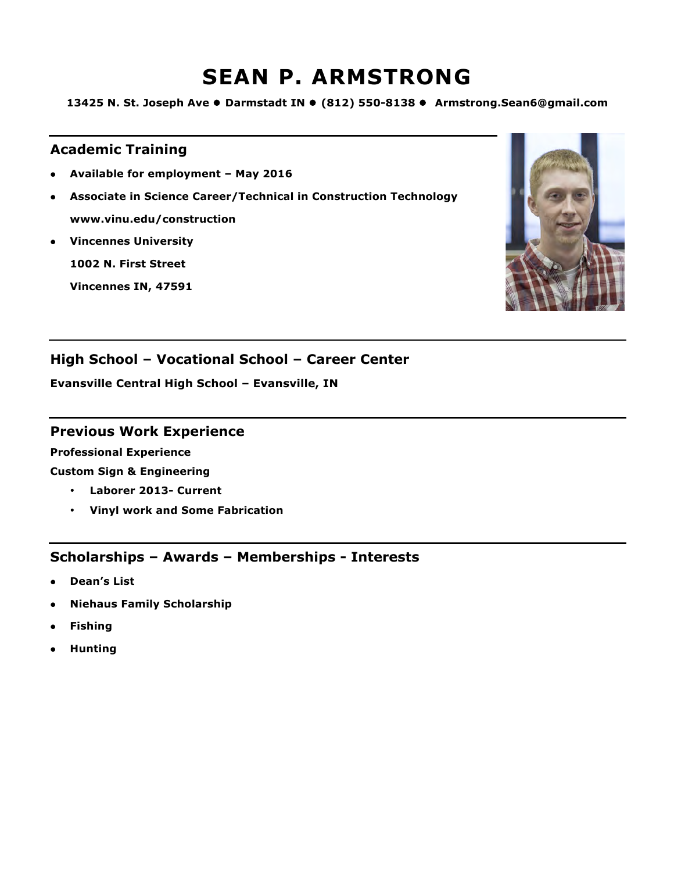# **SEAN P. ARMSTRONG**

**13425 N. St. Joseph Ave ● Darmstadt IN ● (812) 550-8138 ● Armstrong.Sean6@gmail.com** 

## **Academic Training**

- l **Available for employment – May 2016**
- l **Associate in Science Career/Technical in Construction Technology www.vinu.edu/construction**
- **•** Vincennes University

**1002 N. First Street**

**Vincennes IN, 47591**



## **High School – Vocational School – Career Center**

**Evansville Central High School – Evansville, IN**

### **Previous Work Experience**

**Professional Experience**

**Custom Sign & Engineering**

- **Laborer 2013- Current**
- **Vinyl work and Some Fabrication**

- **.** Dean's List
- **Niehaus Family Scholarship**
- **•** Fishing
- **•** Hunting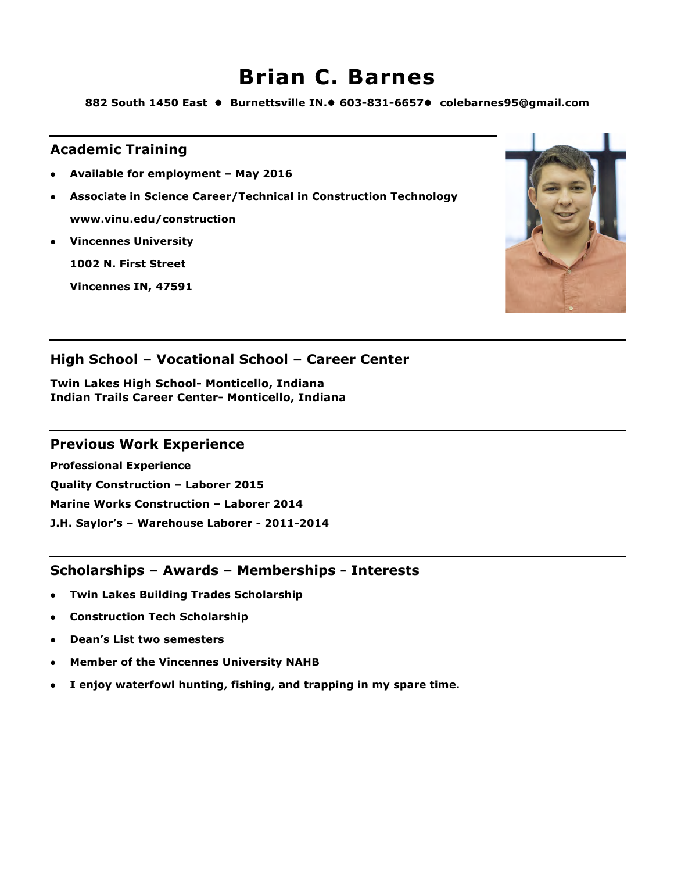# **Brian C. Barnes**

882 South 1450 East ● Burnettsville IN.● 603-831-6657● colebarnes95@gmail.com

### **Academic Training**

- l **Available for employment – May 2016**
- l **Associate in Science Career/Technical in Construction Technology www.vinu.edu/construction**
- **Vincennes University**

**1002 N. First Street**

**Vincennes IN, 47591**



## **High School – Vocational School – Career Center**

**Twin Lakes High School- Monticello, Indiana Indian Trails Career Center- Monticello, Indiana**

#### **Previous Work Experience**

**Professional Experience**

**Quality Construction – Laborer 2015**

**Marine Works Construction – Laborer 2014**

**J.H. Saylor's – Warehouse Laborer - 2011-2014**

- **Twin Lakes Building Trades Scholarship**
- **Construction Tech Scholarship**
- l **Dean's List two semesters**
- l **Member of the Vincennes University NAHB**
- l **I enjoy waterfowl hunting, fishing, and trapping in my spare time.**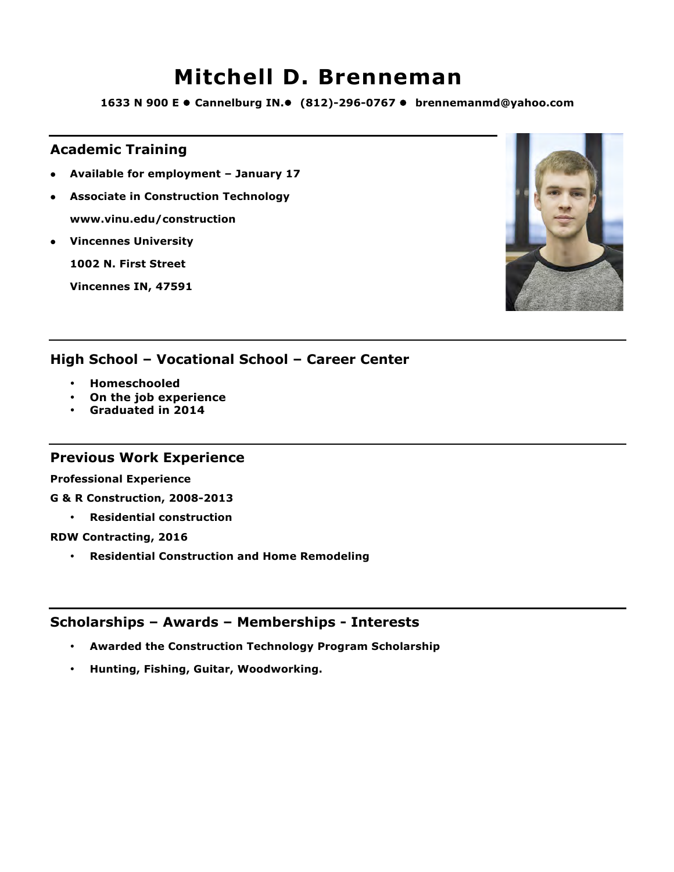## **Mitchell D. Brenneman**

**1633 N 900 E · Cannelburg IN.•** (812)-296-0767 · brennemanmd@yahoo.com

### **Academic Training**

- l **Available for employment – January 17**
- **Associate in Construction Technology www.vinu.edu/construction**
- **Vincennes University**

**1002 N. First Street**

**Vincennes IN, 47591**



### **High School – Vocational School – Career Center**

- **Homeschooled**
- **On the job experience**
- **Graduated in 2014**

#### **Previous Work Experience**

**Professional Experience**

- **G & R Construction, 2008-2013**
	- **Residential construction**
- **RDW Contracting, 2016**
	- **Residential Construction and Home Remodeling**

- **Awarded the Construction Technology Program Scholarship**
- **Hunting, Fishing, Guitar, Woodworking.**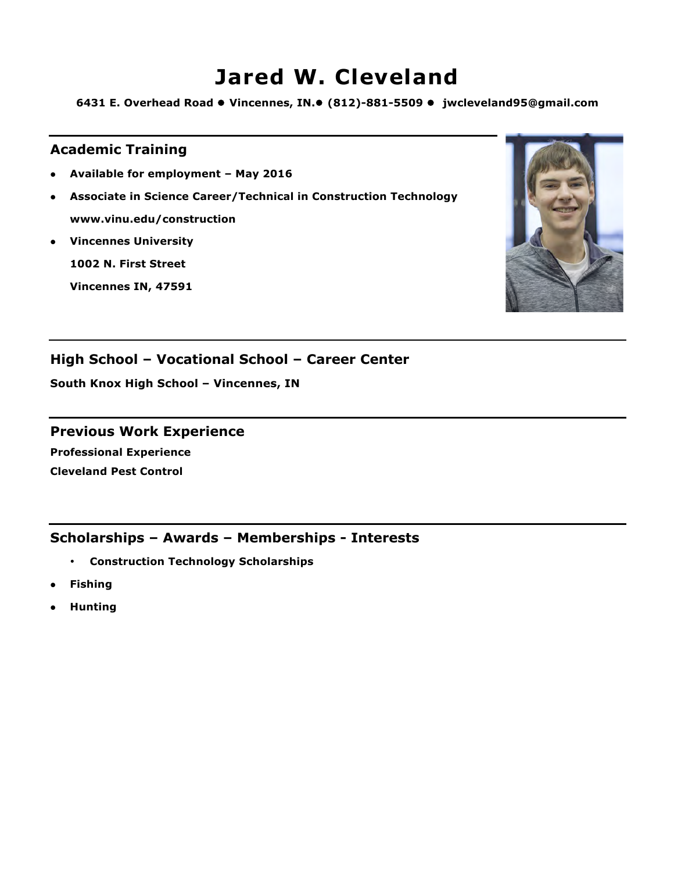# **Jared W. Cleveland**

**6431 E. Overhead Road ● Vincennes, IN.● (812)-881-5509 ● jwcleveland95@gmail.com** 

### **Academic Training**

- l **Available for employment – May 2016**
- l **Associate in Science Career/Technical in Construction Technology www.vinu.edu/construction**
- **•** Vincennes University

**1002 N. First Street**

**Vincennes IN, 47591**



## **High School – Vocational School – Career Center**

**South Knox High School – Vincennes, IN**

#### **Previous Work Experience**

**Professional Experience Cleveland Pest Control** 

- **Construction Technology Scholarships**
- l **Fishing**
- l **Hunting**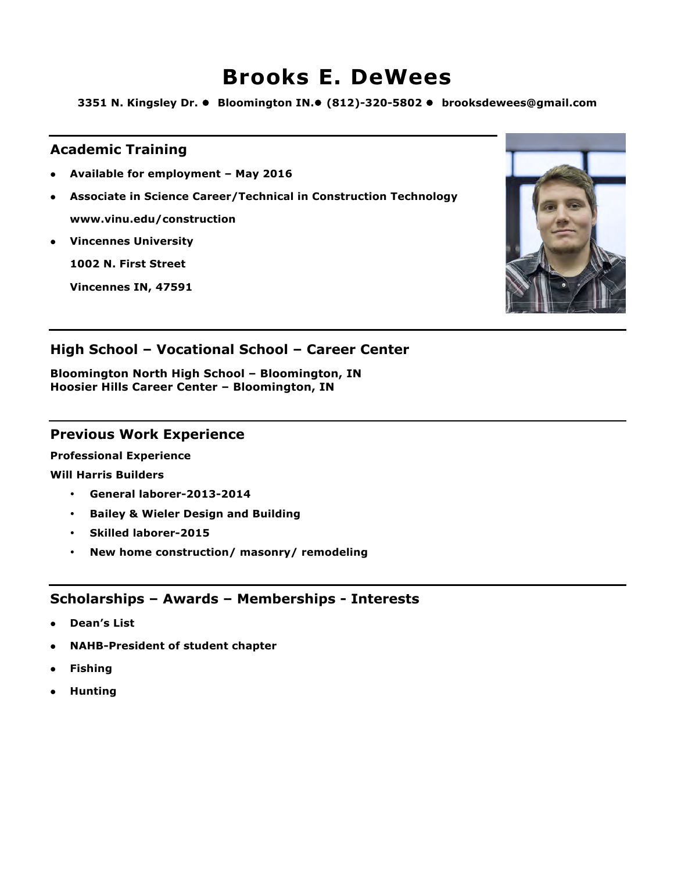## **Brooks E. DeWees**

**3351 N. Kingsley Dr.** l **Bloomington IN.**l **(812)-320-5802** l **brooksdewees@gmail.com**

### **Academic Training**

- l **Available for employment – May 2016**
- l **Associate in Science Career/Technical in Construction Technology www.vinu.edu/construction**
- **Vincennes University**

**1002 N. First Street**

**Vincennes IN, 47591**



## **High School – Vocational School – Career Center**

**Bloomington North High School – Bloomington, IN Hoosier Hills Career Center – Bloomington, IN**

#### **Previous Work Experience**

**Professional Experience**

**Will Harris Builders**

- **General laborer-2013-2014**
- **Bailey & Wieler Design and Building**
- **Skilled laborer-2015**
- **New home construction/ masonry/ remodeling**

- l **Dean's List**
- l **NAHB-President of student chapter**
- **•** Fishing
- l **Hunting**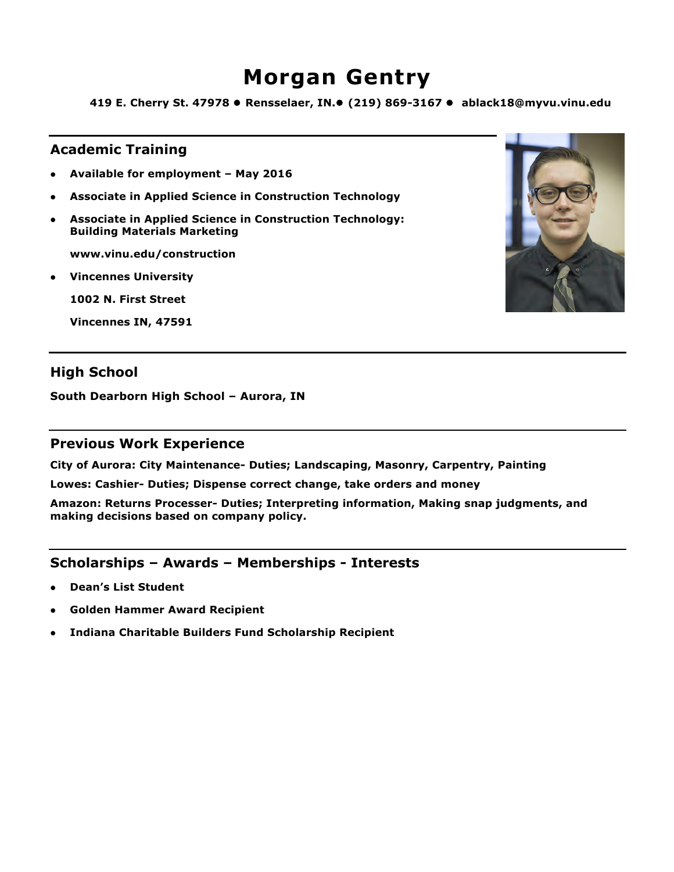# **Morgan Gentry**

**419 E. Cherry St. 47978** l **Rensselaer, IN.**l **(219) 869-3167** l **ablack18@myvu.vinu.edu**

## **Academic Training**

- l **Available for employment – May 2016**
- l **Associate in Applied Science in Construction Technology**
- **4** Associate in Applied Science in Construction Technology: **Building Materials Marketing**

**www.vinu.edu/construction**

**•** Vincennes University

**1002 N. First Street**

**Vincennes IN, 47591**

## **High School**

**South Dearborn High School – Aurora, IN** 

#### **Previous Work Experience**

**City of Aurora: City Maintenance- Duties; Landscaping, Masonry, Carpentry, Painting**

**Lowes: Cashier- Duties; Dispense correct change, take orders and money**

**Amazon: Returns Processer- Duties; Interpreting information, Making snap judgments, and making decisions based on company policy.**

- l **Dean's List Student**
- l **Golden Hammer Award Recipient**
- l **Indiana Charitable Builders Fund Scholarship Recipient**

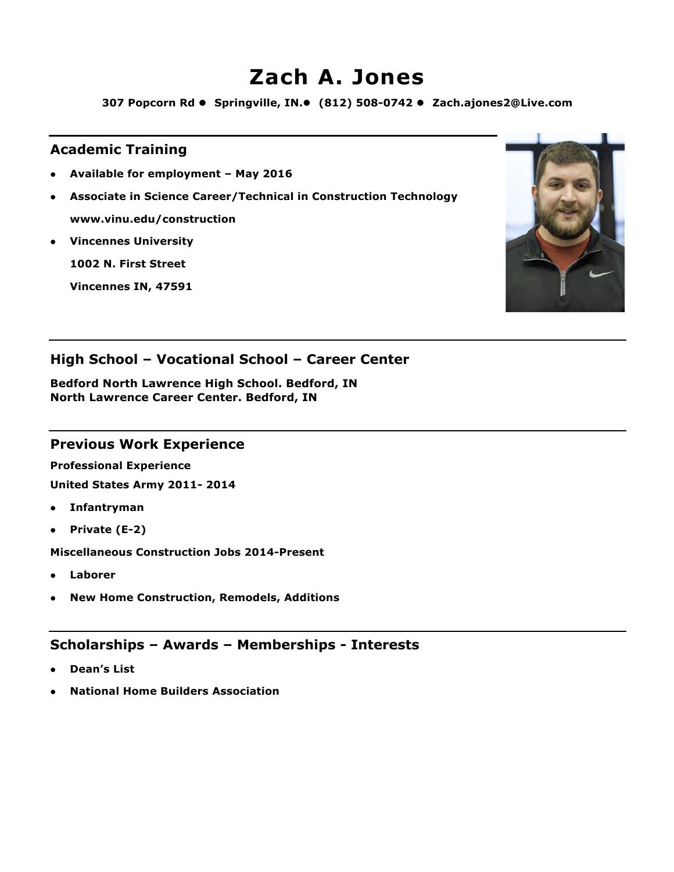# **Zach A. Jones**

**307 Popcorn Rd ● Springville, IN.● (812) 508-0742 ● Zach.ajones2@Live.com** 

## **Academic Training**

- l **Available for employment – May 2016**
- l **Associate in Science Career/Technical in Construction Technology www.vinu.edu/construction**
- **Vincennes University**

**1002 N. First Street**

**Vincennes IN, 47591**



## **High School – Vocational School – Career Center**

**Bedford North Lawrence High School. Bedford, IN North Lawrence Career Center. Bedford, IN**

#### **Previous Work Experience**

**Professional Experience**

**United States Army 2011- 2014**

- **•** Infantryman
- l **Private (E-2)**

**Miscellaneous Construction Jobs 2014-Present**

- l **Laborer**
- l **New Home Construction, Remodels, Additions**

- l **Dean's List**
- l **National Home Builders Association**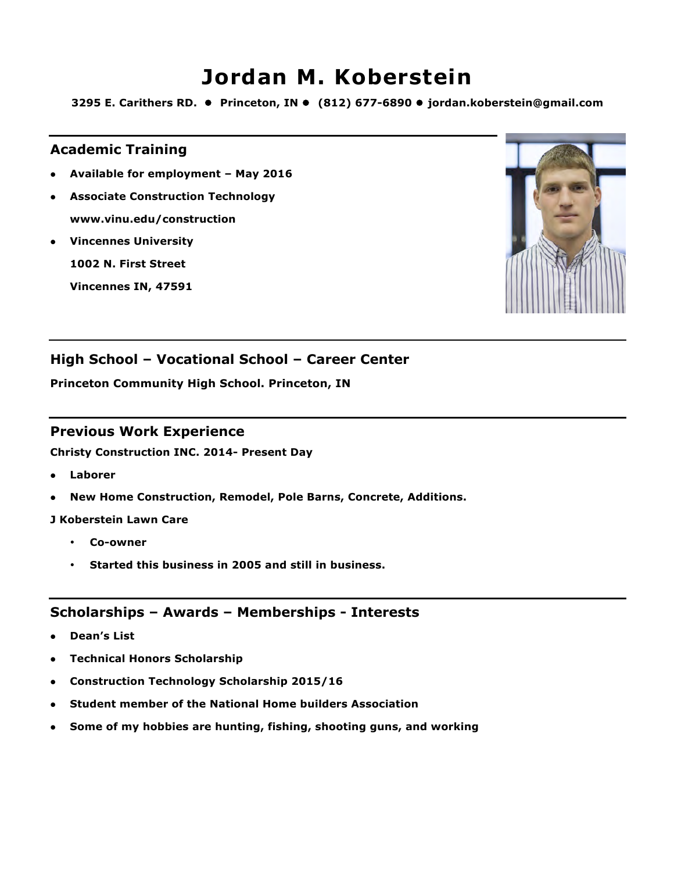## **Jordan M. Koberstein**

**3295 E. Carithers RD.** l **Princeton, IN** l **(812) 677-6890** l **jordan.koberstein@gmail.com**

#### **Academic Training**

- l **Available for employment – May 2016**
- l **Associate Construction Technology www.vinu.edu/construction**
- **Vincennes University**

**1002 N. First Street**

**Vincennes IN, 47591**



## **High School – Vocational School – Career Center**

**Princeton Community High School. Princeton, IN**

#### **Previous Work Experience**

**Christy Construction INC. 2014- Present Day**

- l **Laborer**
- **•** New Home Construction, Remodel, Pole Barns, Concrete, Additions.

#### **J Koberstein Lawn Care**

- **Co-owner**
- **Started this business in 2005 and still in business.**

- l **Dean's List**
- **•** Technical Honors Scholarship
- **Construction Technology Scholarship 2015/16**
- **Student member of the National Home builders Association**
- l **Some of my hobbies are hunting, fishing, shooting guns, and working**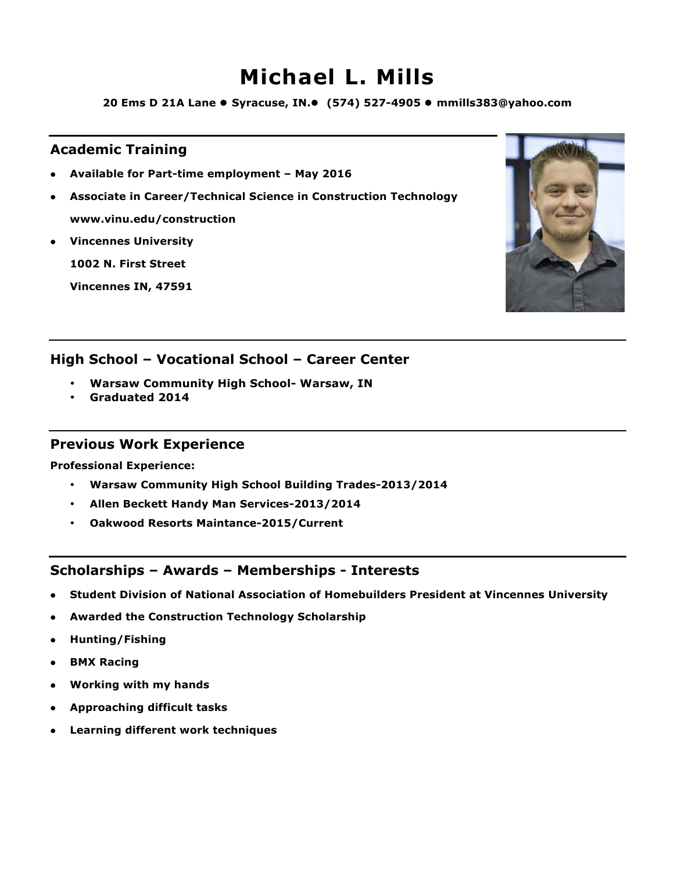# **Michael L. Mills**

**20 Ems D 21A Lane ● Syracuse, IN.● (574) 527-4905 ● mmills383@yahoo.com** 

### **Academic Training**

- l **Available for Part-time employment – May 2016**
- l **Associate in Career/Technical Science in Construction Technology www.vinu.edu/construction**
- **•** Vincennes University

**1002 N. First Street**

**Vincennes IN, 47591**



### **High School – Vocational School – Career Center**

- **Warsaw Community High School- Warsaw, IN**
- **Graduated 2014**

#### **Previous Work Experience**

**Professional Experience:**

- **Warsaw Community High School Building Trades-2013/2014**
- **Allen Beckett Handy Man Services-2013/2014**
- **Oakwood Resorts Maintance-2015/Current**

- **Student Division of National Association of Homebuilders President at Vincennes University**
- **Awarded the Construction Technology Scholarship**
- **•** Hunting/Fishing
- **BMX Racing**
- **•** Working with my hands
- **•** Approaching difficult tasks
- **•** Learning different work techniques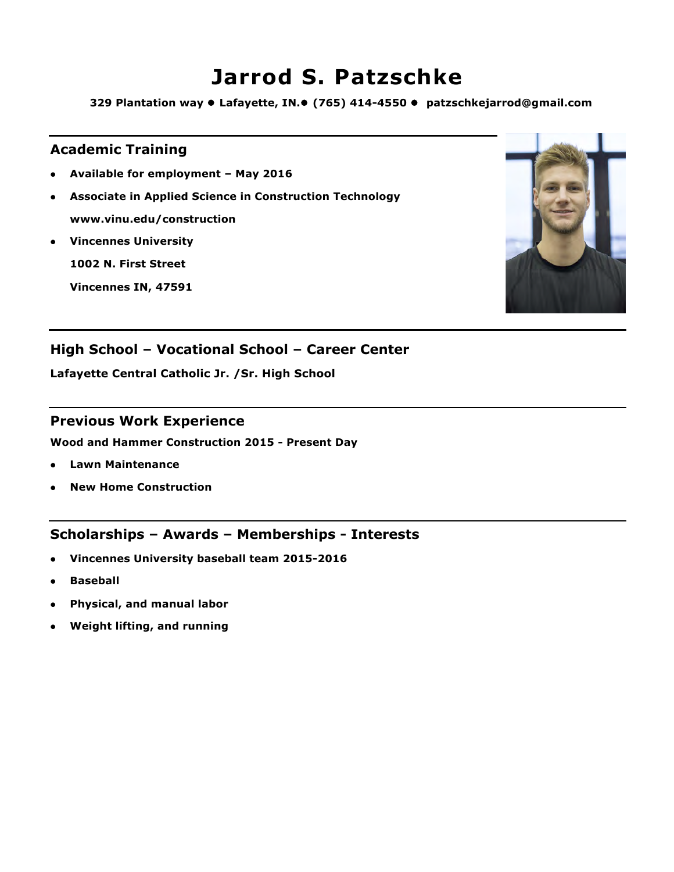## **Jarrod S. Patzschke**

**329 Plantation way ● Lafayette, IN.● (765) 414-4550 ● patzschkejarrod@gmail.com** 

## **Academic Training**

- l **Available for employment – May 2016**
- **Associate in Applied Science in Construction Technology www.vinu.edu/construction**
- **•** Vincennes University

**1002 N. First Street**

**Vincennes IN, 47591**



## **High School – Vocational School – Career Center**

**Lafayette Central Catholic Jr. /Sr. High School**

#### **Previous Work Experience**

**Wood and Hammer Construction 2015 - Present Day**

- l **Lawn Maintenance**
- l **New Home Construction**

- **Vincennes University baseball team 2015-2016**
- **•** Baseball
- l **Physical, and manual labor**
- l **Weight lifting, and running**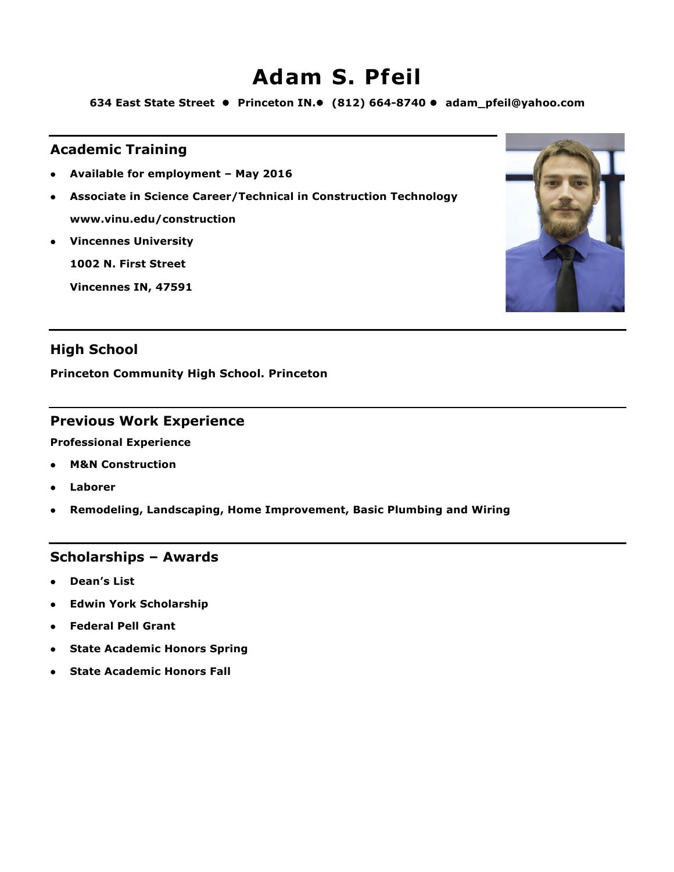# **Adam S. Pfeil**

**634 East State Street** l **Princeton IN.**l **(812) 664-8740** l **adam\_pfeil@yahoo.com**

### **Academic Training**

- l **Available for employment – May 2016**
- l **Associate in Science Career/Technical in Construction Technology www.vinu.edu/construction**
- **•** Vincennes University

**1002 N. First Street**

**Vincennes IN, 47591**



## **High School**

**Princeton Community High School. Princeton**

#### **Previous Work Experience**

**Professional Experience**

- **M&N Construction**
- **.** Laborer
- **•** Remodeling, Landscaping, Home Improvement, Basic Plumbing and Wiring

#### **Scholarships – Awards**

- **.** Dean's List
- **Edwin York Scholarship**
- **•** Federal Pell Grant
- **State Academic Honors Spring**
- **State Academic Honors Fall**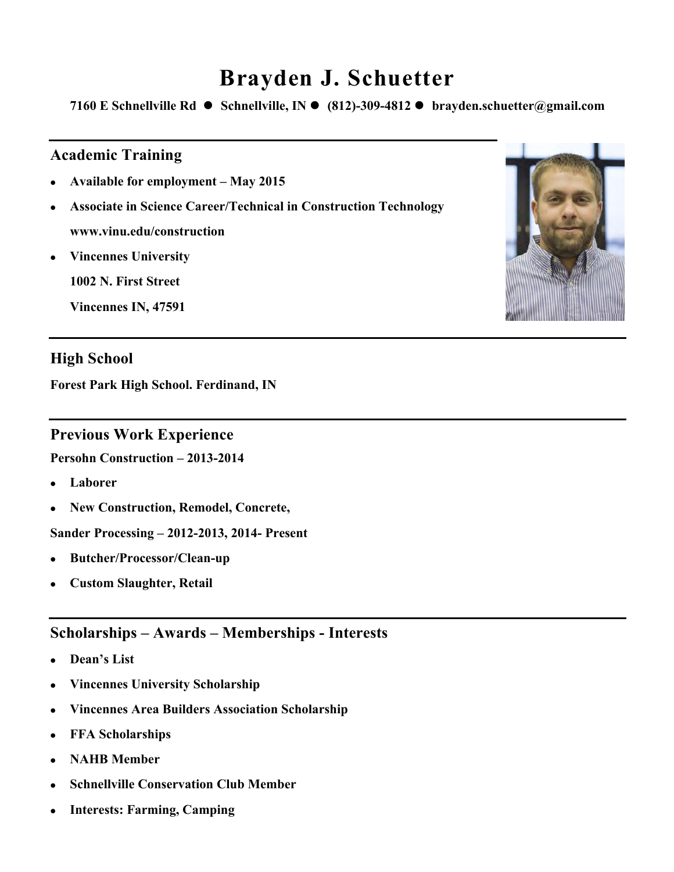# **Brayden J. Schuetter**

**7160 E Schnellville Rd** l **Schnellville, IN** l **(812)-309-4812** l **brayden.schuetter@gmail.com**

## **Academic Training**

- <sup>l</sup> **Available for employment – May 2015**
- <sup>l</sup> **Associate in Science Career/Technical in Construction Technology www.vinu.edu/construction**
- **•** Vincennes University

**1002 N. First Street**

**Vincennes IN, 47591**

## **High School**

**Forest Park High School. Ferdinand, IN**

#### **Previous Work Experience**

**Persohn Construction – 2013-2014**

- <sup>l</sup> **Laborer**
- <sup>l</sup> **New Construction, Remodel, Concrete,**

**Sander Processing – 2012-2013, 2014- Present**

- <sup>l</sup> **Butcher/Processor/Clean-up**
- <sup>l</sup> **Custom Slaughter, Retail**

- <sup>l</sup> **Dean's List**
- <sup>l</sup> **Vincennes University Scholarship**
- <sup>l</sup> **Vincennes Area Builders Association Scholarship**
- <sup>l</sup> **FFA Scholarships**
- <sup>l</sup> **NAHB Member**
- **Schnellville Conservation Club Member**
- <sup>l</sup> **Interests: Farming, Camping**

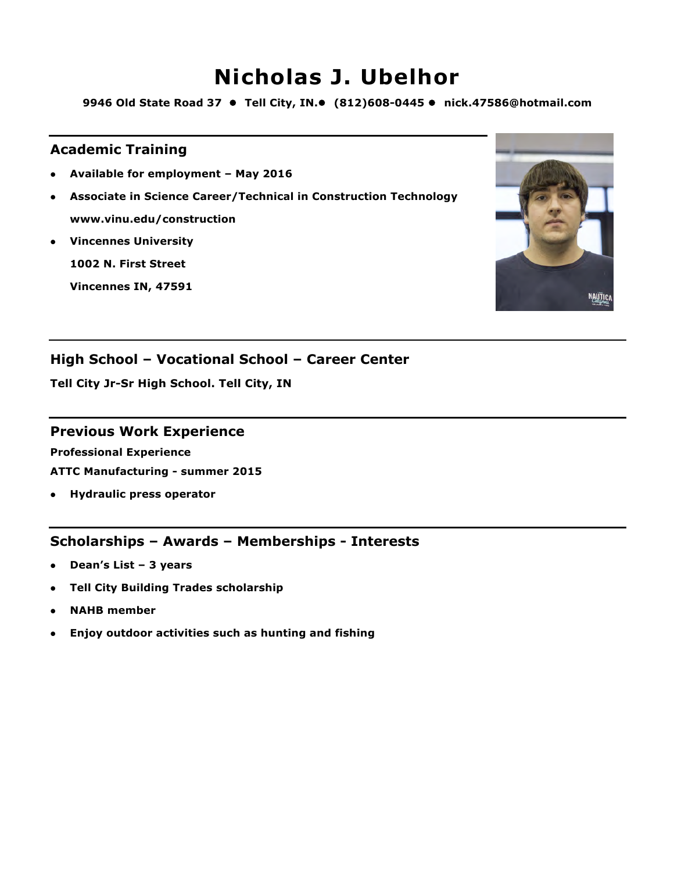# **Nicholas J. Ubelhor**

9946 Old State Road 37 ● Tell City, IN.● (812)608-0445 ● nick.47586@hotmail.com

## **Academic Training**

- l **Available for employment – May 2016**
- l **Associate in Science Career/Technical in Construction Technology www.vinu.edu/construction**
- **Vincennes University**

**1002 N. First Street**

**Vincennes IN, 47591**



## **High School – Vocational School – Career Center**

**Tell City Jr-Sr High School. Tell City, IN**

### **Previous Work Experience**

**Professional Experience ATTC Manufacturing - summer 2015**

**•** Hydraulic press operator

- l **Dean's List – 3 years**
- **Tell City Building Trades scholarship**
- l **NAHB member**
- **•** Enjoy outdoor activities such as hunting and fishing